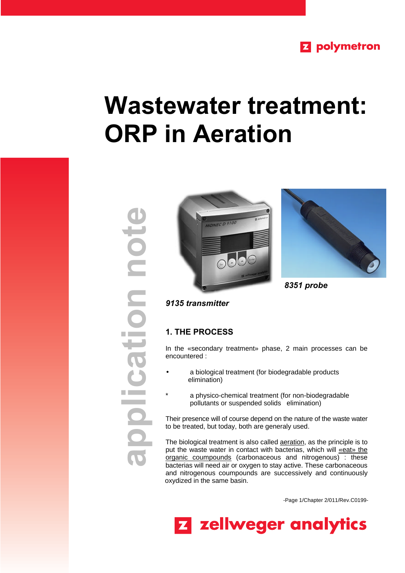

# **Wastewater treatment: ORP in Aeration**







*8351 probe*

## *9135 transmitter*

## **1. THE PROCESS**

In the «secondary treatment» phase, 2 main processes can be encountered :

- a biological treatment (for biodegradable products elimination)
- a physico-chemical treatment (for non-biodegradable pollutants or suspended solids elimination)

Their presence will of course depend on the nature of the waste water to be treated, but today, both are generaly used.

The biological treatment is also called **aeration**, as the principle is to put the waste water in contact with bacterias, which will «eat» the organic coumpounds (carbonaceous and nitrogenous) : these bacterias will need air or oxygen to stay active. These carbonaceous and nitrogenous coumpounds are successively and continuously oxydized in the same basin.

-Page 1/Chapter 2/011/Rev.C0199-

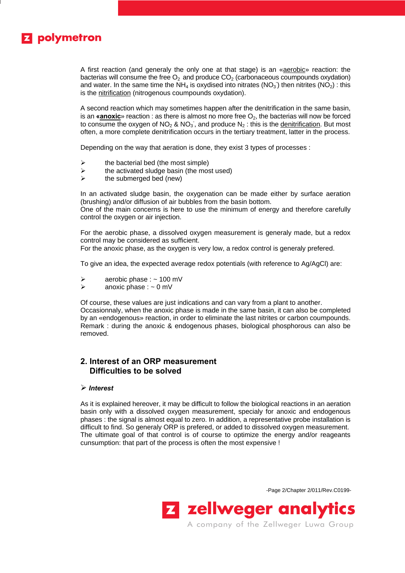# **Z** polymetron

A first reaction (and generaly the only one at that stage) is an «aerobic» reaction: the bacterias will consume the free  $O_2$  and produce  $CO_2$  (carbonaceous coumpounds oxydation) and water. In the same time the NH<sub>4</sub> is oxydised into nitrates (NO<sub>3</sub>) then nitrites (NO<sub>2</sub>) : this is the nitrification (nitrogenous coumpounds oxydation).

A second reaction which may sometimes happen after the denitrification in the same basin, is an **«anoxic**» reaction : as there is almost no more free  $O_2$ , the bacterias will now be forced to consume the oxygen of NO<sub>2</sub> & NO<sub>3</sub>, and produce N<sub>2</sub>: this is the denitrification. But most often, a more complete denitrification occurs in the tertiary treatment, latter in the process.

Depending on the way that aeration is done, they exist 3 types of processes :

- the bacterial bed (the most simple)
- $\triangleright$  the activated sludge basin (the most used)
- $\triangleright$  the submerged bed (new)

In an activated sludge basin, the oxygenation can be made either by surface aeration (brushing) and/or diffusion of air bubbles from the basin bottom.

One of the main concerns is here to use the minimum of energy and therefore carefully control the oxygen or air injection.

For the aerobic phase, a dissolved oxygen measurement is generaly made, but a redox control may be considered as sufficient.

For the anoxic phase, as the oxygen is very low, a redox control is generaly prefered.

To give an idea, the expected average redox potentials (with reference to Ag/AgCl) are:

- $\ge$  aerobic phase : ~ 100 mV<br> $\ge$  anoxic phase : ~ 0 mV
- anoxic phase :  $\sim 0$  mV

Of course, these values are just indications and can vary from a plant to another. Occasionnaly, when the anoxic phase is made in the same basin, it can also be completed by an «endogenous» reaction, in order to eliminate the last nitrites or carbon coumpounds. Remark : during the anoxic & endogenous phases, biological phosphorous can also be removed.

## **2. Interest of an ORP measurement Difficulties to be solved**

## ÿ *Interest*

As it is explained hereover, it may be difficult to follow the biological reactions in an aeration basin only with a dissolved oxygen measurement, specialy for anoxic and endogenous phases : the signal is almost equal to zero. In addition, a representative probe installation is difficult to find. So generaly ORP is prefered, or added to dissolved oxygen measurement. The ultimate goal of that control is of course to optimize the energy and/or reageants cunsumption: that part of the process is often the most expensive !

-Page 2/Chapter 2/011/Rev.C0199-